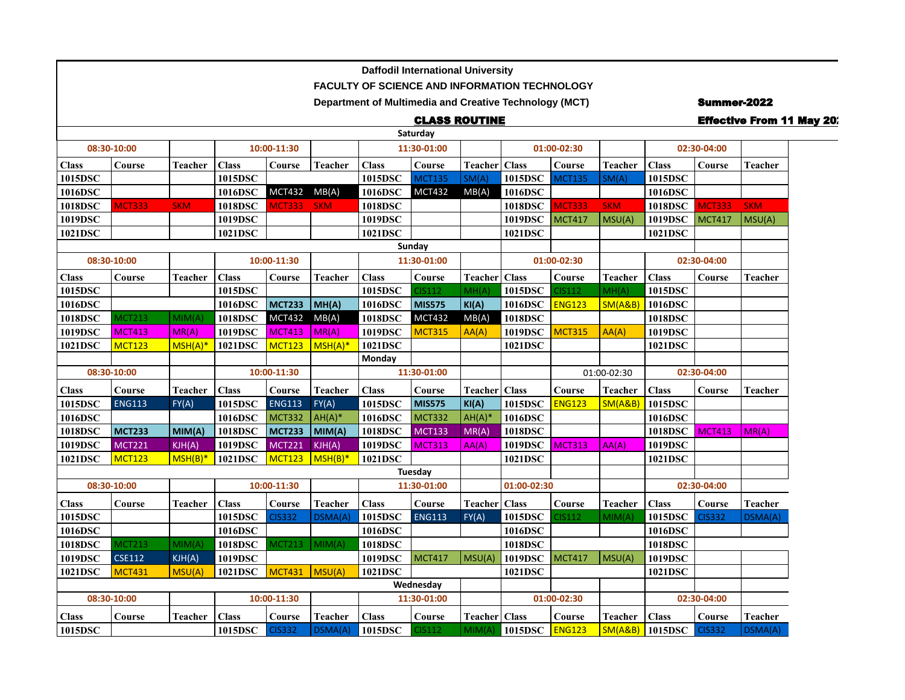|              |                            |                |              |               |                |                                                               | <b>Daffodil International University</b> |                        |             |               |                |                   |                    |                                  |  |
|--------------|----------------------------|----------------|--------------|---------------|----------------|---------------------------------------------------------------|------------------------------------------|------------------------|-------------|---------------|----------------|-------------------|--------------------|----------------------------------|--|
|              |                            |                |              |               |                | <b>FACULTY OF SCIENCE AND INFORMATION TECHNOLOGY</b>          |                                          |                        |             |               |                |                   |                    |                                  |  |
|              |                            |                |              |               |                | <b>Department of Multimedia and Creative Technology (MCT)</b> |                                          |                        |             |               |                |                   | <b>Summer-2022</b> |                                  |  |
|              |                            |                |              |               |                |                                                               | <b>CLASS ROUTINE</b>                     |                        |             |               |                |                   |                    | <b>Effective From 11 May 20:</b> |  |
|              |                            |                |              |               |                |                                                               | Saturday                                 |                        |             |               |                |                   |                    |                                  |  |
|              | 08:30-10:00<br>10:00-11:30 |                |              | 11:30-01:00   |                |                                                               |                                          | 01:00-02:30            |             |               | 02:30-04:00    |                   |                    |                                  |  |
| <b>Class</b> | Course                     | <b>Teacher</b> | <b>Class</b> | Course        | <b>Teacher</b> | <b>Class</b>                                                  | Course                                   | Teacher Class          |             | Course        | Teacher        | <b>Class</b>      | Course             | <b>Teacher</b>                   |  |
| 1015DSC      |                            |                | 1015DSC      |               |                | 1015DSC                                                       | <b>MCT135</b>                            | SM(A)                  | 1015DSC     | <b>MCT135</b> | SM(A)          | 1015DSC           |                    |                                  |  |
| 1016DSC      |                            |                | 1016DSC      | MCT432 MB(A)  |                | 1016DSC                                                       | <b>MCT432</b>                            | MB(A)                  | 1016DSC     |               |                | 1016DSC           |                    |                                  |  |
| 1018DSC      | <b>MCT333</b>              | <b>SKM</b>     | 1018DSC      | <b>MCT333</b> | <b>SKM</b>     | 1018DSC                                                       |                                          |                        | 1018DSC     | <b>MCT333</b> | <b>SKM</b>     | <b>1018DSC</b>    | <b>MCT333</b>      | <b>SKM</b>                       |  |
| 1019DSC      |                            |                | 1019DSC      |               |                | 1019DSC                                                       |                                          |                        | 1019DSC     | MCT417        | MSU(A)         | 1019DSC           | <b>MCT417</b>      | MSU(A)                           |  |
| 1021DSC      |                            |                | 1021DSC      |               |                | 1021DSC                                                       |                                          |                        | 1021DSC     |               |                | 1021DSC           |                    |                                  |  |
|              |                            |                |              |               |                |                                                               | Sunday                                   |                        |             |               |                |                   |                    |                                  |  |
| 08:30-10:00  |                            |                | 10:00-11:30  |               |                | 11:30-01:00                                                   |                                          |                        | 01:00-02:30 |               |                | 02:30-04:00       |                    |                                  |  |
| <b>Class</b> | Course                     | <b>Teacher</b> | <b>Class</b> | Course        | <b>Teacher</b> | <b>Class</b>                                                  | Course                                   | Teacher Class          |             | Course        | Teacher        | <b>Class</b>      | Course             | Teacher                          |  |
| 1015DSC      |                            |                | 1015DSC      |               |                | 1015DSC                                                       | CIS112                                   | MH(A)                  | 1015DSC     | CIS112        | MH(A)          | 1015DSC           |                    |                                  |  |
| 1016DSC      |                            |                | 1016DSC      | <b>MCT233</b> | M(H(A))        | 1016DSC                                                       | <b>MIS575</b>                            | KI(A)                  | 1016DSC     | <b>ENG123</b> | SM(A&B)        | 1016DSC           |                    |                                  |  |
| 1018DSC      | <b>MCT213</b>              | MIM(A)         | 1018DSC      | <b>MCT432</b> | MB(A)          | 1018DSC                                                       | <b>MCT432</b>                            | MB(A)                  | 1018DSC     |               |                | 1018DSC           |                    |                                  |  |
| 1019DSC      | <b>MCT413</b>              | MR(A)          | 1019DSC      | <b>MCT413</b> | M(R(A))        | 1019DSC                                                       | <b>MCT315</b>                            | AA(A)                  | 1019DSC     | <b>MCT315</b> | AA(A)          | 1019DSC           |                    |                                  |  |
| 1021DSC      | <b>MCT123</b>              | $MSH(A)*$      | 1021DSC      | MCT123        | $MSH(A)^*$     | 1021DSC                                                       |                                          |                        | 1021DSC     |               |                | 1021DSC           |                    |                                  |  |
|              |                            |                |              |               |                | Monday                                                        |                                          |                        |             |               |                |                   |                    |                                  |  |
| 08:30-10:00  |                            |                |              | 10:00-11:30   |                | 11:30-01:00                                                   |                                          |                        | 01:00-02:30 |               |                | 02:30-04:00       |                    |                                  |  |
| <b>Class</b> | $\bf Course$               | Teacher        | <b>Class</b> | Course        | <b>Teacher</b> | <b>Class</b>                                                  | $\bf Course$                             | <b>Teacher</b>   Class |             | Course        | <b>Teacher</b> | <b>Class</b>      | Course             | <b>Teacher</b>                   |  |
| 1015DSC      | <b>ENG113</b>              | FY(A)          | 1015DSC      | <b>ENG113</b> | FY(A)          | 1015DSC                                                       | <b>MIS575</b>                            | KI(A)                  | 1015DSC     | <b>ENG123</b> | SM(A&B)        | 1015DSC           |                    |                                  |  |
| 1016DSC      |                            |                | 1016DSC      | <b>MCT332</b> | $AH(A)*$       | 1016DSC                                                       | <b>MCT332</b>                            | $AH(A)^*$              | 1016DSC     |               |                | 1016DSC           |                    |                                  |  |
| 1018DSC      | <b>MCT233</b>              | MIM(A)         | 1018DSC      | <b>MCT233</b> | $ $ MIM(A)     | 1018DSC                                                       | <b>MCT133</b>                            | MR(A)                  | 1018DSC     |               |                | 1018DSC MCT413    |                    | MR(A)                            |  |
| 1019DSC      | <b>MCT221</b>              | KJH(A)         | 1019DSC      | <b>MCT221</b> | KJH(A)         | 1019DSC                                                       | <b>MCT313</b>                            | AA(A)                  | 1019DSC     | <b>MCT313</b> | AA(A)          | 1019DSC           |                    |                                  |  |
| 1021DSC      | <b>MCT123</b>              | $MSH(B)*$      | 1021DSC      | MCT123        | $MSH(B)^*$     | 1021DSC                                                       |                                          |                        | 1021DSC     |               |                | 1021DSC           |                    |                                  |  |
|              |                            |                |              |               |                |                                                               | Tuesday                                  |                        |             |               |                |                   |                    |                                  |  |
| 08:30-10:00  |                            |                |              | 10:00-11:30   |                | 11:30-01:00                                                   |                                          |                        | 01:00-02:30 |               |                |                   | 02:30-04:00        |                                  |  |
| <b>Class</b> | $\bf Course$               | Teacher        | <b>Class</b> | Course        | <b>Teacher</b> | <b>Class</b>                                                  | Course                                   | Teacher Class          |             | Course        | Teacher        | <b>Class</b>      | Course             | <b>Teacher</b>                   |  |
| 1015DSC      |                            |                | 1015DSC      | <b>CIS332</b> | DSMA(A)        | 1015DSC                                                       | <b>ENG113</b>                            | FY(A)                  | 1015DSC     | <b>CIS112</b> | MIM(A)         | 1015DSC           | <b>CIS332</b>      | DSMA(A)                          |  |
| 1016DSC      |                            |                | 1016DSC      |               |                | 1016DSC                                                       |                                          |                        | 1016DSC     |               |                | 1016DSC           |                    |                                  |  |
| 1018DSC      | <b>MCT213</b>              | MIM(A)         | 1018DSC      | <b>MCT213</b> | MIM(A)         | 1018DSC                                                       |                                          |                        | 1018DSC     |               |                | 1018DSC           |                    |                                  |  |
| 1019DSC      | <b>CSE112</b>              | KJH(A)         | 1019DSC      |               |                | 1019DSC                                                       | <b>MCT417</b>                            | MSU(A)                 | 1019DSC     | MCT417        | MSU(A)         | 1019DSC           |                    |                                  |  |
| 1021DSC      | <b>MCT431</b>              | MSU(A)         | 1021DSC      | <b>MCT431</b> | MSU(A)         | 1021DSC                                                       |                                          |                        | 1021DSC     |               |                | 1021DSC           |                    |                                  |  |
|              |                            |                |              |               |                | Wednesday                                                     |                                          |                        |             |               |                |                   |                    |                                  |  |
|              | 08:30-10:00                |                |              | 10:00-11:30   |                |                                                               | 11:30-01:00                              |                        | 01:00-02:30 |               |                | 02:30-04:00       |                    |                                  |  |
| <b>Class</b> | Course                     | Teacher        | <b>Class</b> | Course        | Teacher        | <b>Class</b>                                                  | Course                                   | <b>Teacher</b>   Class |             | Course        | Teacher        | Class             | Course             | <b>Teacher</b>                   |  |
| 1015DSC      |                            |                | 1015DSC      | <b>CIS332</b> | DSMA(A)        | 1015DSC                                                       | CIS112                                   | MIM(A)                 | 1015DSC     | <b>ENG123</b> |                | $SM(A&B)$ 1015DSC | <b>CIS332</b>      | DSMA(A)                          |  |

Г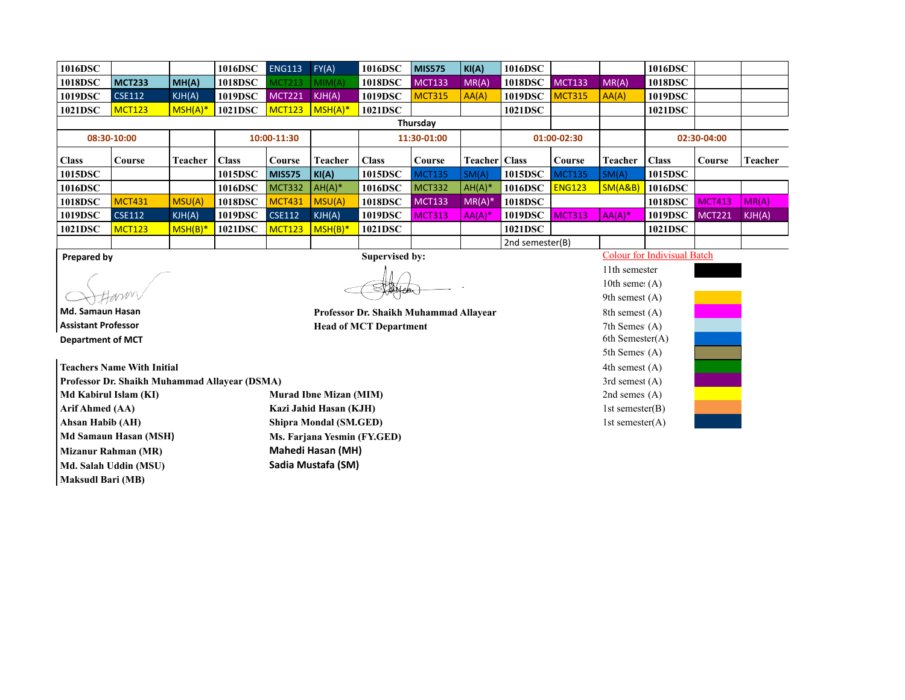| 1016DSC      |               |            | 1016DSC      | <b>ENG113</b> | FY(A)          | 1016DSC      | <b>MIS575</b> | KI(A)                  | 1016DSC     |               |           | 1016DSC      |               |                |
|--------------|---------------|------------|--------------|---------------|----------------|--------------|---------------|------------------------|-------------|---------------|-----------|--------------|---------------|----------------|
| 1018DSC      | MCT233        | MH(A)      | 1018DSC      | MCT213        | MIM(A)         | 1018DSC      | <b>MCT133</b> | MR(A)                  | 1018DSC     | <b>MCT133</b> | MR(A)     | 1018DSC      |               |                |
| 1019DSC      | CSE112        | KJH(A)     | 1019DSC      | <b>MCT221</b> | KJH(A)         | 1019DSC      | <b>MCT315</b> | AA(A)                  | 1019DSC     | <b>MCT315</b> | AA(A)     | 1019DSC      |               |                |
| 1021DSC      | <b>MCT123</b> | $MSH(A)^*$ | 1021DSC      | <b>MCT123</b> | $MSH(A)^*$     | 1021DSC      |               |                        | 1021DSC     |               |           | 1021DSC      |               |                |
|              | Thursday      |            |              |               |                |              |               |                        |             |               |           |              |               |                |
|              | 08:30-10:00   |            | 10:00-11:30  |               |                | 11:30-01:00  |               |                        | 01:00-02:30 |               |           | 02:30-04:00  |               |                |
| <b>Class</b> |               |            |              |               |                |              |               |                        |             |               |           |              |               |                |
|              | Course        | Teacher    | <b>Class</b> | Course        | <b>Teacher</b> | <b>Class</b> | Course        | <b>Teacher</b>   Class |             | Course        | Teacher   | <b>Class</b> | Course        | <b>Teacher</b> |
| 1015DSC      |               |            | 1015DSC      | <b>MIS575</b> | KI(A)          | 1015DSC      | <b>MCT135</b> | SM(A)                  | 1015DSC     | <b>MCT135</b> | SM(A)     | 1015DSC      |               |                |
| 1016DSC      |               |            | 1016DSC      | MCT332        | $AH(A)*$       | 1016DSC      | <b>MCT332</b> | $AH(A)^*$              | 1016DSC     | <b>ENG123</b> | SM(AB)    | 1016DSC      |               |                |
| 1018DSC      | <b>MCT431</b> | MSU(A)     | 1018DSC      | <b>MCT431</b> | MSU(A)         | 1018DSC      | <b>MCT133</b> | $MR(A)^*$              | 1018DSC     |               |           | 1018DSC      | MCT413        | MR(A)          |
| 1019DSC      | <b>CSE112</b> | KJH(A)     | 1019DSC      | <b>CSE112</b> | KJH(A)         | 1019DSC      | <b>MCT313</b> | $AA(A)^*$              | 1019DSC     | <b>MCT313</b> | $AA(A)^*$ | 1019DSC      | <b>MCT221</b> | KJH(A)         |
| 1021DSC      | <b>MCT123</b> | MSH(B)     | 1021DSC      | <b>MCT123</b> | $MSH(B)*$      | 1021DSC      |               |                        | 1021DSC     |               |           | 1021DSC      |               |                |

**Assistant Professor Head of MCT Department** 7th Semester(A) (A) **Department of MCT** 

**Teachers Name With Initial 4th semest (A)** (A)

**Md Kabirul Islam (KI) Murad Ibne Mizan (MIM)** 2nd semes (A) 2nd semes (A) **Arif Ahmed (AA) Kazi Jahid Hasan (KJH)** 1st semester(B) 1st semester(B) **Ahsan Habib (AH) Shipra Mondal (SM.GED)** 1st semester(A) 1st semester(A) **Md Samaun Hasan (MSH) Ms. Farjana Yesmin (FY.GED) Mizanur Rahman (MR) Mahedi Hasan (MH) Md. Salah Uddin (MSU) Sadia Mustafa (SM) Maksudl Bari (MB)**

Myelen

**Md. Samaun Hasan Professor Dr. Shaikh Muhammad Allayear 8th semest (A) Professor Dr. Shaikh Muhammad Allayear** 

**Prepared by** Colour for Indivisual Batch

11th semester 10th seme $(A)$ 9th semest $(A)$ 5th Semes (A) **Professor Dr. Shaikh Muhammad Allayear (DSMA)** 3rd semest (A) 3rd semest (A) 3rd semest (A) 3rd semester(A) 3rd semester(A) 3rd semester(A) 3rd semester(A) 3rd semester(A) 3rd semester(A) 3rd semester(A) 3rd semester(A) 3